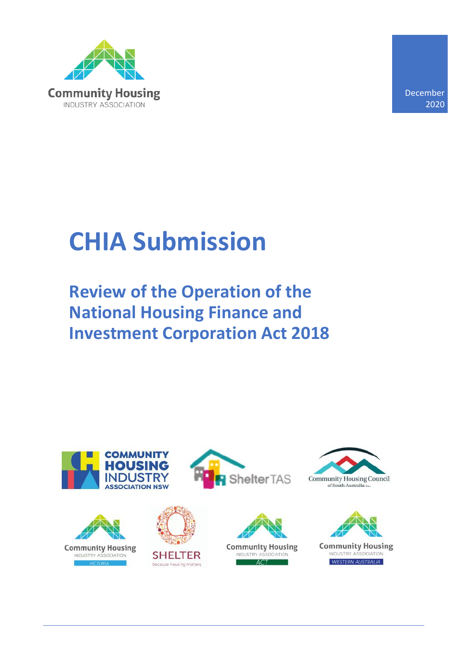

December 2020

# **CHIA Submission**

**Review of the Operation of the National Housing Finance and Investment Corporation Act 2018**

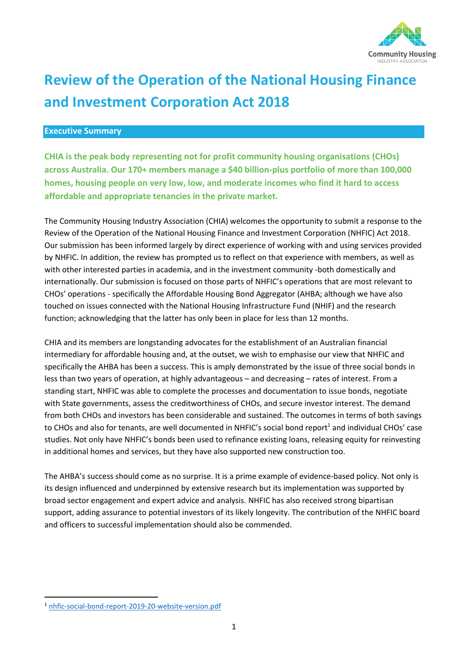

# **Review of the Operation of the National Housing Finance and Investment Corporation Act 2018**

## **Executive Summary**

**CHIA is the peak body representing not for profit community housing organisations (CHOs) across Australia. Our 170+ members manage a \$40 billion-plus portfolio of more than 100,000 homes, housing people on very low, low, and moderate incomes who find it hard to access affordable and appropriate tenancies in the private market.** 

The Community Housing Industry Association (CHIA) welcomes the opportunity to submit a response to the Review of the Operation of the National Housing Finance and Investment Corporation (NHFIC) Act 2018. Our submission has been informed largely by direct experience of working with and using services provided by NHFIC. In addition, the review has prompted us to reflect on that experience with members, as well as with other interested parties in academia, and in the investment community -both domestically and internationally. Our submission is focused on those parts of NHFIC's operations that are most relevant to CHOs' operations - specifically the Affordable Housing Bond Aggregator (AHBA; although we have also touched on issues connected with the National Housing Infrastructure Fund (NHIF) and the research function; acknowledging that the latter has only been in place for less than 12 months.

CHIA and its members are longstanding advocates for the establishment of an Australian financial intermediary for affordable housing and, at the outset, we wish to emphasise our view that NHFIC and specifically the AHBA has been a success. This is amply demonstrated by the issue of three social bonds in less than two years of operation, at highly advantageous – and decreasing – rates of interest. From a standing start, NHFIC was able to complete the processes and documentation to issue bonds, negotiate with State governments, assess the creditworthiness of CHOs, and secure investor interest. The demand from both CHOs and investors has been considerable and sustained. The outcomes in terms of both savings to CHOs and also for tenants, are well documented in NHFIC's social bond report<sup>1</sup> and individual CHOs' case studies. Not only have NHFIC's bonds been used to refinance existing loans, releasing equity for reinvesting in additional homes and services, but they have also supported new construction too.

The AHBA's success should come as no surprise. It is a prime example of evidence-based policy. Not only is its design influenced and underpinned by extensive research but its implementation was supported by broad sector engagement and expert advice and analysis. NHFIC has also received strong bipartisan support, adding assurance to potential investors of its likely longevity. The contribution of the NHFIC board and officers to successful implementation should also be commended.

<sup>1</sup> [nhfic-social-bond-report-2019-20-website-version.pdf](https://www.nhfic.gov.au/media/1487/nhfic-social-bond-report-2019-20-website-version.pdf)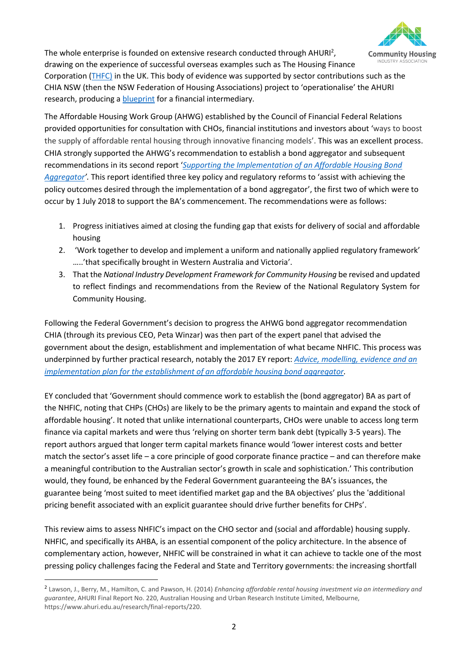

The whole enterprise is founded on extensive research conducted through AHURI<sup>2</sup>, drawing on the experience of successful overseas examples such as The Housing Finance

Corporation [\(THFC\)](https://www.thfcorp.com/) in the UK. This body of evidence was supported by sector contributions such as the CHIA NSW (then the NSW Federation of Housing Associations) project to 'operationalise' the AHURI research, producing a [blueprint](https://www.communityhousing.com.au/wp-content/uploads/2020/12/NSWFHA-Financial-Intermediary.pdf) for a financial intermediary.

The Affordable Housing Work Group (AHWG) established by the Council of Financial Federal Relations provided opportunities for consultation with CHOs, financial institutions and investors about 'ways to boost the supply of affordable rental housing through innovative financing models'. This was an excellent process. CHIA strongly supported the AHWG's recommendation to establish a bond aggregator and subsequent recommendations in its second report '*[Supporting the Implementation of an Affordable Housing Bond](https://treasury.gov.au/sites/default/files/2019-03/170921-AHWG-final-for-publication.pdf)  [Aggregator](https://treasury.gov.au/sites/default/files/2019-03/170921-AHWG-final-for-publication.pdf)'.* This report identified three key policy and regulatory reforms to 'assist with achieving the policy outcomes desired through the implementation of a bond aggregator', the first two of which were to occur by 1 July 2018 to support the BA's commencement. The recommendations were as follows:

- 1. Progress initiatives aimed at closing the funding gap that exists for delivery of social and affordable housing
- 2. 'Work together to develop and implement a uniform and nationally applied regulatory framework' …..'that specifically brought in Western Australia and Victoria'.
- 3. That the *National Industry Development Framework for Community Housing* be revised and updated to reflect findings and recommendations from the Review of the National Regulatory System for Community Housing.

Following the Federal Government's decision to progress the AHWG bond aggregator recommendation CHIA (through its previous CEO, Peta Winzar) was then part of the expert panel that advised the government about the design, establishment and implementation of what became NHFIC. This process was underpinned by further practical research, notably the 2017 EY report: *[Advice, modelling, evidence and an](https://static.treasury.gov.au/uploads/sites/1/2017/09/c2017_222774_EY_report-2.pdf)  [implementation plan for the establishment of an affordable housing bond aggregator.](https://static.treasury.gov.au/uploads/sites/1/2017/09/c2017_222774_EY_report-2.pdf)* 

EY concluded that 'Government should commence work to establish the (bond aggregator) BA as part of the NHFIC, noting that CHPs (CHOs) are likely to be the primary agents to maintain and expand the stock of affordable housing'. It noted that unlike international counterparts, CHOs were unable to access long term finance via capital markets and were thus 'relying on shorter term bank debt (typically 3-5 years). The report authors argued that longer term capital markets finance would 'lower interest costs and better match the sector's asset life – a core principle of good corporate finance practice – and can therefore make a meaningful contribution to the Australian sector's growth in scale and sophistication.' This contribution would, they found, be enhanced by the Federal Government guaranteeing the BA's issuances, the guarantee being 'most suited to meet identified market gap and the BA objectives' plus the 'additional pricing benefit associated with an explicit guarantee should drive further benefits for CHPs'.

This review aims to assess NHFIC's impact on the CHO sector and (social and affordable) housing supply. NHFIC, and specifically its AHBA, is an essential component of the policy architecture. In the absence of complementary action, however, NHFIC will be constrained in what it can achieve to tackle one of the most pressing policy challenges facing the Federal and State and Territory governments: the increasing shortfall

<sup>2</sup> Lawson, J., Berry, M., Hamilton, C. and Pawson, H. (2014) *Enhancing affordable rental housing investment via an intermediary and guarantee*, AHURI Final Report No. 220, Australian Housing and Urban Research Institute Limited, Melbourne, https://www.ahuri.edu.au/research/final-reports/220.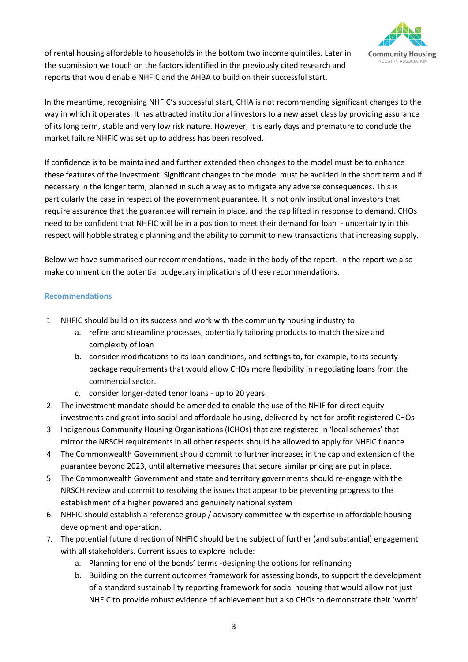

of rental housing affordable to households in the bottom two income quintiles. Later in the submission we touch on the factors identified in the previously cited research and reports that would enable NHFIC and the AHBA to build on their successful start.

In the meantime, recognising NHFIC's successful start, CHIA is not recommending significant changes to the way in which it operates. It has attracted institutional investors to a new asset class by providing assurance of its long term, stable and very low risk nature. However, it is early days and premature to conclude the market failure NHFIC was set up to address has been resolved.

If confidence is to be maintained and further extended then changes to the model must be to enhance these features of the investment. Significant changes to the model must be avoided in the short term and if necessary in the longer term, planned in such a way as to mitigate any adverse consequences. This is particularly the case in respect of the government guarantee. It is not only institutional investors that require assurance that the guarantee will remain in place, and the cap lifted in response to demand. CHOs need to be confident that NHFIC will be in a position to meet their demand for loan - uncertainty in this respect will hobble strategic planning and the ability to commit to new transactions that increasing supply.

Below we have summarised our recommendations, made in the body of the report. In the report we also make comment on the potential budgetary implications of these recommendations.

### **Recommendations**

- 1. NHFIC should build on its success and work with the community housing industry to:
	- a. refine and streamline processes, potentially tailoring products to match the size and complexity of loan
	- b. consider modifications to its loan conditions, and settings to, for example, to its security package requirements that would allow CHOs more flexibility in negotiating loans from the commercial sector.
	- c. consider longer-dated tenor loans up to 20 years.
- 2. The investment mandate should be amended to enable the use of the NHIF for direct equity investments and grant into social and affordable housing, delivered by not for profit registered CHOs
- 3. Indigenous Community Housing Organisations (ICHOs) that are registered in 'local schemes' that mirror the NRSCH requirements in all other respects should be allowed to apply for NHFIC finance
- 4. The Commonwealth Government should commit to further increases in the cap and extension of the guarantee beyond 2023, until alternative measures that secure similar pricing are put in place.
- 5. The Commonwealth Government and state and territory governments should re-engage with the NRSCH review and commit to resolving the issues that appear to be preventing progress to the establishment of a higher powered and genuinely national system
- 6. NHFIC should establish a reference group / advisory committee with expertise in affordable housing development and operation.
- 7. The potential future direction of NHFIC should be the subject of further (and substantial) engagement with all stakeholders. Current issues to explore include:
	- a. Planning for end of the bonds' terms -designing the options for refinancing
	- b. Building on the current outcomes framework for assessing bonds, to support the development of a standard sustainability reporting framework for social housing that would allow not just NHFIC to provide robust evidence of achievement but also CHOs to demonstrate their 'worth'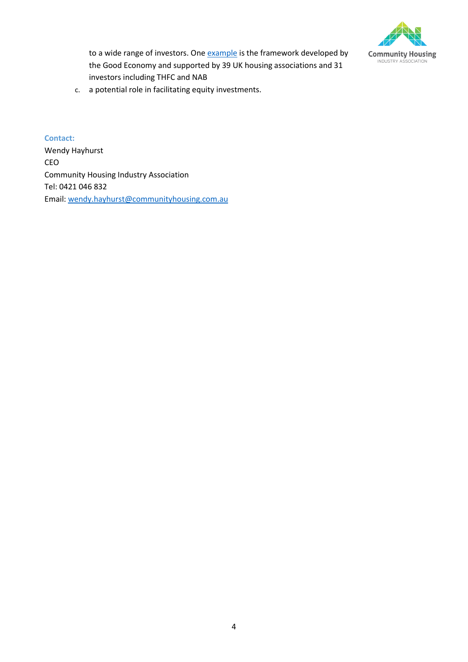

to a wide range of investors. One [example](https://thegoodeconomy.co.uk/resources/reports/SRS_final-report_2020-11-16-094356.pdf) is the framework developed by the Good Economy and supported by 39 UK housing associations and 31 investors including THFC and NAB

c. a potential role in facilitating equity investments.

#### **Contact:**

Wendy Hayhurst CEO Community Housing Industry Association Tel: 0421 046 832 Email[: wendy.hayhurst@communityhousing.com.au](mailto:wendy.hayhurst@communityhousing.com.au)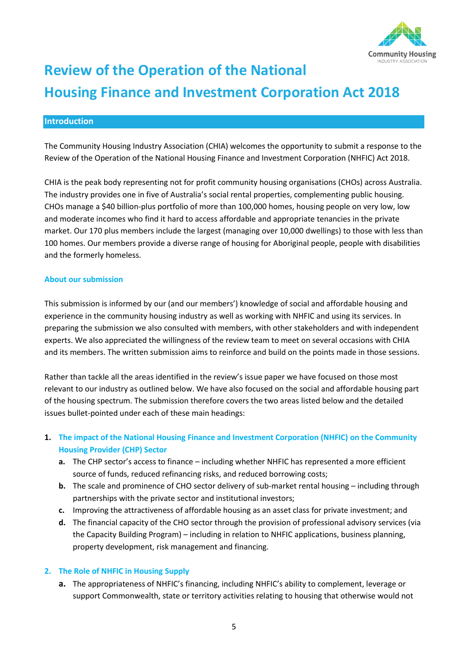

# **Review of the Operation of the National Housing Finance and Investment Corporation Act 2018**

# **Introduction**

The Community Housing Industry Association (CHIA) welcomes the opportunity to submit a response to the Review of the Operation of the National Housing Finance and Investment Corporation (NHFIC) Act 2018.

CHIA is the peak body representing not for profit community housing organisations (CHOs) across Australia. The industry provides one in five of Australia's social rental properties, complementing public housing. CHOs manage a \$40 billion-plus portfolio of more than 100,000 homes, housing people on very low, low and moderate incomes who find it hard to access affordable and appropriate tenancies in the private market. Our 170 plus members include the largest (managing over 10,000 dwellings) to those with less than 100 homes. Our members provide a diverse range of housing for Aboriginal people, people with disabilities and the formerly homeless.

#### **About our submission**

This submission is informed by our (and our members') knowledge of social and affordable housing and experience in the community housing industry as well as working with NHFIC and using its services. In preparing the submission we also consulted with members, with other stakeholders and with independent experts. We also appreciated the willingness of the review team to meet on several occasions with CHIA and its members. The written submission aims to reinforce and build on the points made in those sessions.

Rather than tackle all the areas identified in the review's issue paper we have focused on those most relevant to our industry as outlined below. We have also focused on the social and affordable housing part of the housing spectrum. The submission therefore covers the two areas listed below and the detailed issues bullet-pointed under each of these main headings:

# **1. The impact of the National Housing Finance and Investment Corporation (NHFIC) on the Community Housing Provider (CHP) Sector**

- **a.** The CHP sector's access to finance including whether NHFIC has represented a more efficient source of funds, reduced refinancing risks, and reduced borrowing costs;
- **b.** The scale and prominence of CHO sector delivery of sub-market rental housing including through partnerships with the private sector and institutional investors;
- **c.** Improving the attractiveness of affordable housing as an asset class for private investment; and
- **d.** The financial capacity of the CHO sector through the provision of professional advisory services (via the Capacity Building Program) – including in relation to NHFIC applications, business planning, property development, risk management and financing.

#### **2. The Role of NHFIC in Housing Supply**

**a.** The appropriateness of NHFIC's financing, including NHFIC's ability to complement, leverage or support Commonwealth, state or territory activities relating to housing that otherwise would not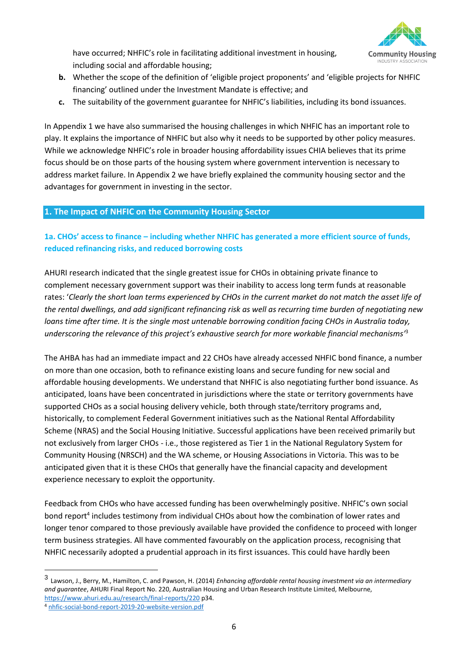

have occurred; NHFIC's role in facilitating additional investment in housing, including social and affordable housing;

- **b.** Whether the scope of the definition of 'eligible project proponents' and 'eligible projects for NHFIC financing' outlined under the Investment Mandate is effective; and
- **c.** The suitability of the government guarantee for NHFIC's liabilities, including its bond issuances.

In Appendix 1 we have also summarised the housing challenges in which NHFIC has an important role to play. It explains the importance of NHFIC but also why it needs to be supported by other policy measures. While we acknowledge NHFIC's role in broader housing affordability issues CHIA believes that its prime focus should be on those parts of the housing system where government intervention is necessary to address market failure. In Appendix 2 we have briefly explained the community housing sector and the advantages for government in investing in the sector.

# **1. The Impact of NHFIC on the Community Housing Sector**

# **1a. CHOs' access to finance – including whether NHFIC has generated a more efficient source of funds, reduced refinancing risks, and reduced borrowing costs**

AHURI research indicated that the single greatest issue for CHOs in obtaining private finance to complement necessary government support was their inability to access long term funds at reasonable rates: '*Clearly the short loan terms experienced by CHOs in the current market do not match the asset life of the rental dwellings, and add significant refinancing risk as well as recurring time burden of negotiating new loans time after time. It is the single most untenable borrowing condition facing CHOs in Australia today, underscoring the relevance of this project's exhaustive search for more workable financial mechanisms'* 3

The AHBA has had an immediate impact and 22 CHOs have already accessed NHFIC bond finance, a number on more than one occasion, both to refinance existing loans and secure funding for new social and affordable housing developments. We understand that NHFIC is also negotiating further bond issuance. As anticipated, loans have been concentrated in jurisdictions where the state or territory governments have supported CHOs as a social housing delivery vehicle, both through state/territory programs and, historically, to complement Federal Government initiatives such as the National Rental Affordability Scheme (NRAS) and the Social Housing Initiative. Successful applications have been received primarily but not exclusively from larger CHOs - i.e., those registered as Tier 1 in the National Regulatory System for Community Housing (NRSCH) and the WA scheme, or Housing Associations in Victoria. This was to be anticipated given that it is these CHOs that generally have the financial capacity and development experience necessary to exploit the opportunity.

Feedback from CHOs who have accessed funding has been overwhelmingly positive. NHFIC's own social bond report<sup>4</sup> includes testimony from individual CHOs about how the combination of lower rates and longer tenor compared to those previously available have provided the confidence to proceed with longer term business strategies. All have commented favourably on the application process, recognising that NHFIC necessarily adopted a prudential approach in its first issuances. This could have hardly been

<sup>3</sup> Lawson, J., Berry, M., Hamilton, C. and Pawson, H. (2014) *Enhancing affordable rental housing investment via an intermediary and guarantee*, AHURI Final Report No. 220, Australian Housing and Urban Research Institute Limited, Melbourne, <https://www.ahuri.edu.au/research/final-reports/220> p34.

<sup>4</sup> [nhfic-social-bond-report-2019-20-website-version.pdf](https://www.nhfic.gov.au/media/1487/nhfic-social-bond-report-2019-20-website-version.pdf)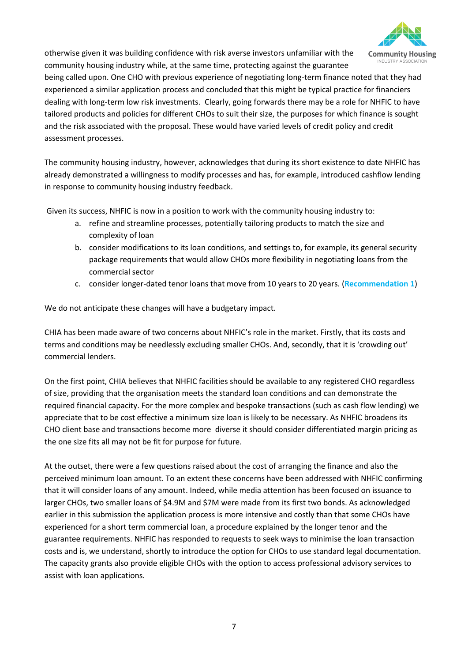

otherwise given it was building confidence with risk averse investors unfamiliar with the community housing industry while, at the same time, protecting against the guarantee

being called upon. One CHO with previous experience of negotiating long-term finance noted that they had experienced a similar application process and concluded that this might be typical practice for financiers dealing with long-term low risk investments. Clearly, going forwards there may be a role for NHFIC to have tailored products and policies for different CHOs to suit their size, the purposes for which finance is sought and the risk associated with the proposal. These would have varied levels of credit policy and credit assessment processes.

The community housing industry, however, acknowledges that during its short existence to date NHFIC has already demonstrated a willingness to modify processes and has, for example, introduced cashflow lending in response to community housing industry feedback.

Given its success, NHFIC is now in a position to work with the community housing industry to:

- a. refine and streamline processes, potentially tailoring products to match the size and complexity of loan
- b. consider modifications to its loan conditions, and settings to, for example, its general security package requirements that would allow CHOs more flexibility in negotiating loans from the commercial sector
- c. consider longer-dated tenor loans that move from 10 years to 20 years. (**Recommendation 1**)

We do not anticipate these changes will have a budgetary impact.

CHIA has been made aware of two concerns about NHFIC's role in the market. Firstly, that its costs and terms and conditions may be needlessly excluding smaller CHOs. And, secondly, that it is 'crowding out' commercial lenders.

On the first point, CHIA believes that NHFIC facilities should be available to any registered CHO regardless of size, providing that the organisation meets the standard loan conditions and can demonstrate the required financial capacity. For the more complex and bespoke transactions (such as cash flow lending) we appreciate that to be cost effective a minimum size loan is likely to be necessary. As NHFIC broadens its CHO client base and transactions become more diverse it should consider differentiated margin pricing as the one size fits all may not be fit for purpose for future.

At the outset, there were a few questions raised about the cost of arranging the finance and also the perceived minimum loan amount. To an extent these concerns have been addressed with NHFIC confirming that it will consider loans of any amount. Indeed, while media attention has been focused on issuance to larger CHOs, two smaller loans of \$4.9M and \$7M were made from its first two bonds. As acknowledged earlier in this submission the application process is more intensive and costly than that some CHOs have experienced for a short term commercial loan, a procedure explained by the longer tenor and the guarantee requirements. NHFIC has responded to requests to seek ways to minimise the loan transaction costs and is, we understand, shortly to introduce the option for CHOs to use standard legal documentation. The capacity grants also provide eligible CHOs with the option to access professional advisory services to assist with loan applications.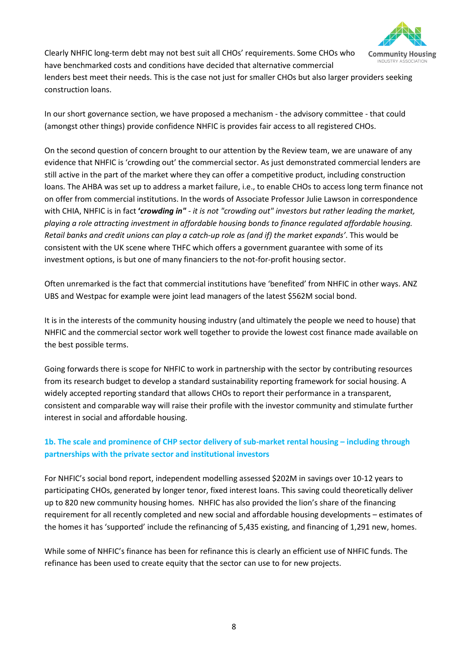

Clearly NHFIC long-term debt may not best suit all CHOs' requirements. Some CHOs who have benchmarked costs and conditions have decided that alternative commercial

lenders best meet their needs. This is the case not just for smaller CHOs but also larger providers seeking construction loans.

In our short governance section, we have proposed a mechanism - the advisory committee - that could (amongst other things) provide confidence NHFIC is provides fair access to all registered CHOs.

On the second question of concern brought to our attention by the Review team, we are unaware of any evidence that NHFIC is 'crowding out' the commercial sector. As just demonstrated commercial lenders are still active in the part of the market where they can offer a competitive product, including construction loans. The AHBA was set up to address a market failure, i.e., to enable CHOs to access long term finance not on offer from commercial institutions. In the words of Associate Professor Julie Lawson in correspondence with CHIA, NHFIC is in fact **'***crowding in" - it is not "crowding out" investors but rather leading the market, playing a role attracting investment in affordable housing bonds to finance regulated affordable housing. Retail banks and credit unions can play a catch-up role as (and if) the market expands'*. This would be consistent with the UK scene where THFC which offers a government guarantee with some of its investment options, is but one of many financiers to the not-for-profit housing sector.

Often unremarked is the fact that commercial institutions have 'benefited' from NHFIC in other ways. ANZ UBS and Westpac for example were joint lead managers of the latest \$562M social bond.

It is in the interests of the community housing industry (and ultimately the people we need to house) that NHFIC and the commercial sector work well together to provide the lowest cost finance made available on the best possible terms.

Going forwards there is scope for NHFIC to work in partnership with the sector by contributing resources from its research budget to develop a standard sustainability reporting framework for social housing. A widely accepted reporting standard that allows CHOs to report their performance in a transparent, consistent and comparable way will raise their profile with the investor community and stimulate further interest in social and affordable housing.

# **1b. The scale and prominence of CHP sector delivery of sub-market rental housing – including through partnerships with the private sector and institutional investors**

For NHFIC's social bond report, independent modelling assessed \$202M in savings over 10-12 years to participating CHOs, generated by longer tenor, fixed interest loans. This saving could theoretically deliver up to 820 new community housing homes. NHFIC has also provided the lion's share of the financing requirement for all recently completed and new social and affordable housing developments – estimates of the homes it has 'supported' include the refinancing of 5,435 existing, and financing of 1,291 new, homes.

While some of NHFIC's finance has been for refinance this is clearly an efficient use of NHFIC funds. The refinance has been used to create equity that the sector can use to for new projects.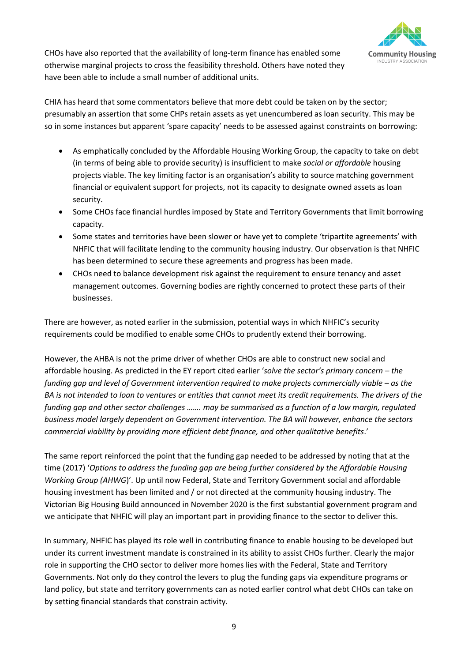

CHOs have also reported that the availability of long-term finance has enabled some otherwise marginal projects to cross the feasibility threshold. Others have noted they have been able to include a small number of additional units.

CHIA has heard that some commentators believe that more debt could be taken on by the sector; presumably an assertion that some CHPs retain assets as yet unencumbered as loan security. This may be so in some instances but apparent 'spare capacity' needs to be assessed against constraints on borrowing:

- As emphatically concluded by the Affordable Housing Working Group, the capacity to take on debt (in terms of being able to provide security) is insufficient to make *social or affordable* housing projects viable. The key limiting factor is an organisation's ability to source matching government financial or equivalent support for projects, not its capacity to designate owned assets as loan security.
- Some CHOs face financial hurdles imposed by State and Territory Governments that limit borrowing capacity.
- Some states and territories have been slower or have yet to complete 'tripartite agreements' with NHFIC that will facilitate lending to the community housing industry. Our observation is that NHFIC has been determined to secure these agreements and progress has been made.
- CHOs need to balance development risk against the requirement to ensure tenancy and asset management outcomes. Governing bodies are rightly concerned to protect these parts of their businesses.

There are however, as noted earlier in the submission, potential ways in which NHFIC's security requirements could be modified to enable some CHOs to prudently extend their borrowing.

However, the AHBA is not the prime driver of whether CHOs are able to construct new social and affordable housing. As predicted in the EY report cited earlier '*solve the sector's primary concern – the funding gap and level of Government intervention required to make projects commercially viable – as the BA is not intended to loan to ventures or entities that cannot meet its credit requirements. The drivers of the funding gap and other sector challenges ……. may be summarised as a function of a low margin, regulated business model largely dependent on Government intervention. The BA will however, enhance the sectors commercial viability by providing more efficient debt finance, and other qualitative benefits*.'

The same report reinforced the point that the funding gap needed to be addressed by noting that at the time (2017) '*Options to address the funding gap are being further considered by the Affordable Housing Working Group (AHWG*)'. Up until now Federal, State and Territory Government social and affordable housing investment has been limited and / or not directed at the community housing industry. The Victorian Big Housing Build announced in November 2020 is the first substantial government program and we anticipate that NHFIC will play an important part in providing finance to the sector to deliver this.

In summary, NHFIC has played its role well in contributing finance to enable housing to be developed but under its current investment mandate is constrained in its ability to assist CHOs further. Clearly the major role in supporting the CHO sector to deliver more homes lies with the Federal, State and Territory Governments. Not only do they control the levers to plug the funding gaps via expenditure programs or land policy, but state and territory governments can as noted earlier control what debt CHOs can take on by setting financial standards that constrain activity.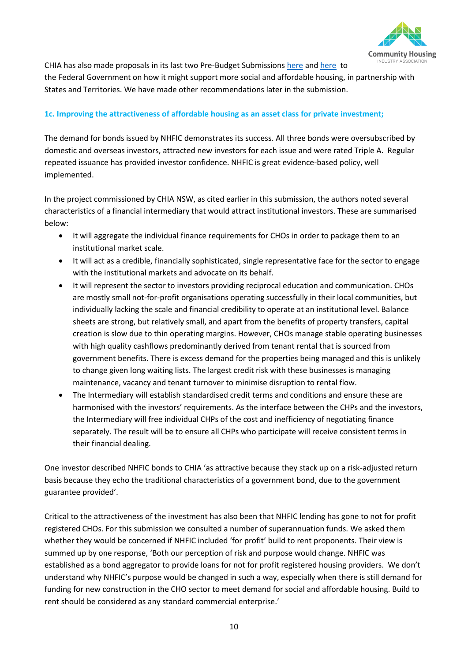

CHIA has also made proposals in its last two Pre-Budget Submissions [here](https://www.communityhousing.com.au/wp-content/uploads/2020/08/2020-CHIA-Federal-Budget-submission-Updated-AUGUST-2020.pdf?x67653) an[d here](https://www.communityhousing.com.au/wp-content/uploads/2020/01/2020-CHIA-Federal-Budget-submission-FINAL-.pdf?x67653) to the Federal Government on how it might support more social and affordable housing, in partnership with States and Territories. We have made other recommendations later in the submission.

# **1c. Improving the attractiveness of affordable housing as an asset class for private investment;**

The demand for bonds issued by NHFIC demonstrates its success. All three bonds were oversubscribed by domestic and overseas investors, attracted new investors for each issue and were rated Triple A. Regular repeated issuance has provided investor confidence. NHFIC is great evidence-based policy, well implemented.

In the project commissioned by CHIA NSW, as cited earlier in this submission, the authors noted several characteristics of a financial intermediary that would attract institutional investors. These are summarised below:

- It will aggregate the individual finance requirements for CHOs in order to package them to an institutional market scale.
- It will act as a credible, financially sophisticated, single representative face for the sector to engage with the institutional markets and advocate on its behalf.
- It will represent the sector to investors providing reciprocal education and communication. CHOs are mostly small not-for-profit organisations operating successfully in their local communities, but individually lacking the scale and financial credibility to operate at an institutional level. Balance sheets are strong, but relatively small, and apart from the benefits of property transfers, capital creation is slow due to thin operating margins. However, CHOs manage stable operating businesses with high quality cashflows predominantly derived from tenant rental that is sourced from government benefits. There is excess demand for the properties being managed and this is unlikely to change given long waiting lists. The largest credit risk with these businesses is managing maintenance, vacancy and tenant turnover to minimise disruption to rental flow.
- The Intermediary will establish standardised credit terms and conditions and ensure these are harmonised with the investors' requirements. As the interface between the CHPs and the investors, the Intermediary will free individual CHPs of the cost and inefficiency of negotiating finance separately. The result will be to ensure all CHPs who participate will receive consistent terms in their financial dealing.

One investor described NHFIC bonds to CHIA 'as attractive because they stack up on a risk-adjusted return basis because they echo the traditional characteristics of a government bond, due to the government guarantee provided'.

Critical to the attractiveness of the investment has also been that NHFIC lending has gone to not for profit registered CHOs. For this submission we consulted a number of superannuation funds. We asked them whether they would be concerned if NHFIC included 'for profit' build to rent proponents. Their view is summed up by one response, 'Both our perception of risk and purpose would change. NHFIC was established as a bond aggregator to provide loans for not for profit registered housing providers. We don't understand why NHFIC's purpose would be changed in such a way, especially when there is still demand for funding for new construction in the CHO sector to meet demand for social and affordable housing. Build to rent should be considered as any standard commercial enterprise.'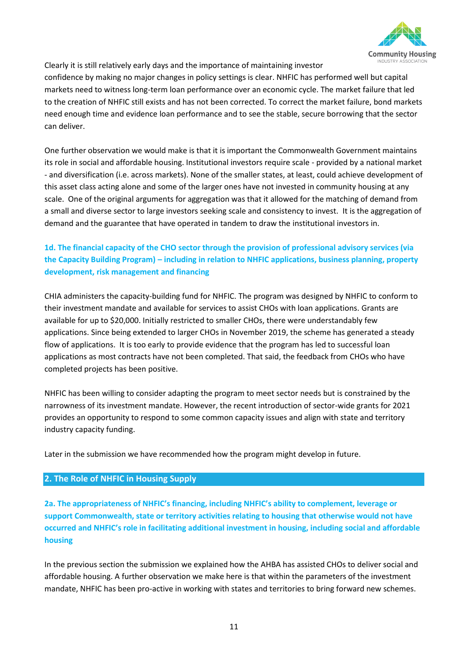

Clearly it is still relatively early days and the importance of maintaining investor

confidence by making no major changes in policy settings is clear. NHFIC has performed well but capital markets need to witness long-term loan performance over an economic cycle. The market failure that led to the creation of NHFIC still exists and has not been corrected. To correct the market failure, bond markets need enough time and evidence loan performance and to see the stable, secure borrowing that the sector can deliver.

One further observation we would make is that it is important the Commonwealth Government maintains its role in social and affordable housing. Institutional investors require scale - provided by a national market - and diversification (i.e. across markets). None of the smaller states, at least, could achieve development of this asset class acting alone and some of the larger ones have not invested in community housing at any scale. One of the original arguments for aggregation was that it allowed for the matching of demand from a small and diverse sector to large investors seeking scale and consistency to invest. It is the aggregation of demand and the guarantee that have operated in tandem to draw the institutional investors in.

# **1d. The financial capacity of the CHO sector through the provision of professional advisory services (via the Capacity Building Program) – including in relation to NHFIC applications, business planning, property development, risk management and financing**

CHIA administers the capacity-building fund for NHFIC. The program was designed by NHFIC to conform to their investment mandate and available for services to assist CHOs with loan applications. Grants are available for up to \$20,000. Initially restricted to smaller CHOs, there were understandably few applications. Since being extended to larger CHOs in November 2019, the scheme has generated a steady flow of applications. It is too early to provide evidence that the program has led to successful loan applications as most contracts have not been completed. That said, the feedback from CHOs who have completed projects has been positive.

NHFIC has been willing to consider adapting the program to meet sector needs but is constrained by the narrowness of its investment mandate. However, the recent introduction of sector-wide grants for 2021 provides an opportunity to respond to some common capacity issues and align with state and territory industry capacity funding.

Later in the submission we have recommended how the program might develop in future.

# **2. The Role of NHFIC in Housing Supply**

**2a. The appropriateness of NHFIC's financing, including NHFIC's ability to complement, leverage or support Commonwealth, state or territory activities relating to housing that otherwise would not have occurred and NHFIC's role in facilitating additional investment in housing, including social and affordable housing**

In the previous section the submission we explained how the AHBA has assisted CHOs to deliver social and affordable housing. A further observation we make here is that within the parameters of the investment mandate, NHFIC has been pro-active in working with states and territories to bring forward new schemes.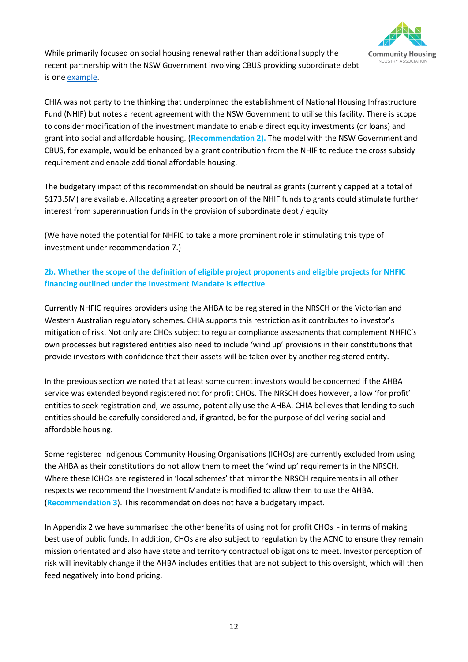

While primarily focused on social housing renewal rather than additional supply the recent partnership with the NSW Government involving CBUS providing subordinate debt is on[e example.](https://www.nhfic.gov.au/media-resources/media-releases/new-social-housing-to-be-delivered-in-innovative-partnership/)

CHIA was not party to the thinking that underpinned the establishment of National Housing Infrastructure Fund (NHIF) but notes a recent agreement with the NSW Government to utilise this facility. There is scope to consider modification of the investment mandate to enable direct equity investments (or loans) and grant into social and affordable housing. (**Recommendation 2).** The model with the NSW Government and CBUS, for example, would be enhanced by a grant contribution from the NHIF to reduce the cross subsidy requirement and enable additional affordable housing.

The budgetary impact of this recommendation should be neutral as grants (currently capped at a total of \$173.5M) are available. Allocating a greater proportion of the NHIF funds to grants could stimulate further interest from superannuation funds in the provision of subordinate debt / equity.

(We have noted the potential for NHFIC to take a more prominent role in stimulating this type of investment under recommendation 7.)

# **2b. Whether the scope of the definition of eligible project proponents and eligible projects for NHFIC financing outlined under the Investment Mandate is effective**

Currently NHFIC requires providers using the AHBA to be registered in the NRSCH or the Victorian and Western Australian regulatory schemes. CHIA supports this restriction as it contributes to investor's mitigation of risk. Not only are CHOs subject to regular compliance assessments that complement NHFIC's own processes but registered entities also need to include 'wind up' provisions in their constitutions that provide investors with confidence that their assets will be taken over by another registered entity.

In the previous section we noted that at least some current investors would be concerned if the AHBA service was extended beyond registered not for profit CHOs. The NRSCH does however, allow 'for profit' entities to seek registration and, we assume, potentially use the AHBA. CHIA believes that lending to such entities should be carefully considered and, if granted, be for the purpose of delivering social and affordable housing.

Some registered Indigenous Community Housing Organisations (ICHOs) are currently excluded from using the AHBA as their constitutions do not allow them to meet the 'wind up' requirements in the NRSCH. Where these ICHOs are registered in 'local schemes' that mirror the NRSCH requirements in all other respects we recommend the Investment Mandate is modified to allow them to use the AHBA. (**Recommendation 3**). This recommendation does not have a budgetary impact.

In Appendix 2 we have summarised the other benefits of using not for profit CHOs - in terms of making best use of public funds. In addition, CHOs are also subject to regulation by the ACNC to ensure they remain mission orientated and also have state and territory contractual obligations to meet. Investor perception of risk will inevitably change if the AHBA includes entities that are not subject to this oversight, which will then feed negatively into bond pricing.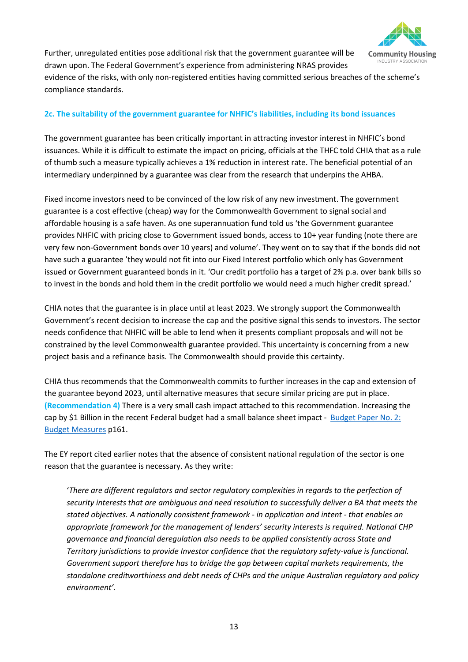

Further, unregulated entities pose additional risk that the government guarantee will be drawn upon. The Federal Government's experience from administering NRAS provides evidence of the risks, with only non-registered entities having committed serious breaches of the scheme's compliance standards.

# **2c. The suitability of the government guarantee for NHFIC's liabilities, including its bond issuances**

The government guarantee has been critically important in attracting investor interest in NHFIC's bond issuances. While it is difficult to estimate the impact on pricing, officials at the THFC told CHIA that as a rule of thumb such a measure typically achieves a 1% reduction in interest rate. The beneficial potential of an intermediary underpinned by a guarantee was clear from the research that underpins the AHBA.

Fixed income investors need to be convinced of the low risk of any new investment. The government guarantee is a cost effective (cheap) way for the Commonwealth Government to signal social and affordable housing is a safe haven. As one superannuation fund told us 'the Government guarantee provides NHFIC with pricing close to Government issued bonds, access to 10+ year funding (note there are very few non-Government bonds over 10 years) and volume'. They went on to say that if the bonds did not have such a guarantee 'they would not fit into our Fixed Interest portfolio which only has Government issued or Government guaranteed bonds in it. 'Our credit portfolio has a target of 2% p.a. over bank bills so to invest in the bonds and hold them in the credit portfolio we would need a much higher credit spread.'

CHIA notes that the guarantee is in place until at least 2023. We strongly support the Commonwealth Government's recent decision to increase the cap and the positive signal this sends to investors. The sector needs confidence that NHFIC will be able to lend when it presents compliant proposals and will not be constrained by the level Commonwealth guarantee provided. This uncertainty is concerning from a new project basis and a refinance basis. The Commonwealth should provide this certainty.

CHIA thus recommends that the Commonwealth commits to further increases in the cap and extension of the guarantee beyond 2023, until alternative measures that secure similar pricing are put in place. **(Recommendation 4)** There is a very small cash impact attached to this recommendation. Increasing the cap by \$1 Billion in the recent Federal budget had a small balance sheet impact - [Budget Paper No. 2:](https://budget.gov.au/2020-21/content/bp2/download/bp2_complete.pdf)  [Budget Measures](https://budget.gov.au/2020-21/content/bp2/download/bp2_complete.pdf) p161.

The EY report cited earlier notes that the absence of consistent national regulation of the sector is one reason that the guarantee is necessary. As they write:

'*There are different regulators and sector regulatory complexities in regards to the perfection of security interests that are ambiguous and need resolution to successfully deliver a BA that meets the stated objectives. A nationally consistent framework - in application and intent - that enables an appropriate framework for the management of lenders' security interests is required. National CHP governance and financial deregulation also needs to be applied consistently across State and Territory jurisdictions to provide Investor confidence that the regulatory safety-value is functional. Government support therefore has to bridge the gap between capital markets requirements, the standalone creditworthiness and debt needs of CHPs and the unique Australian regulatory and policy environment'.*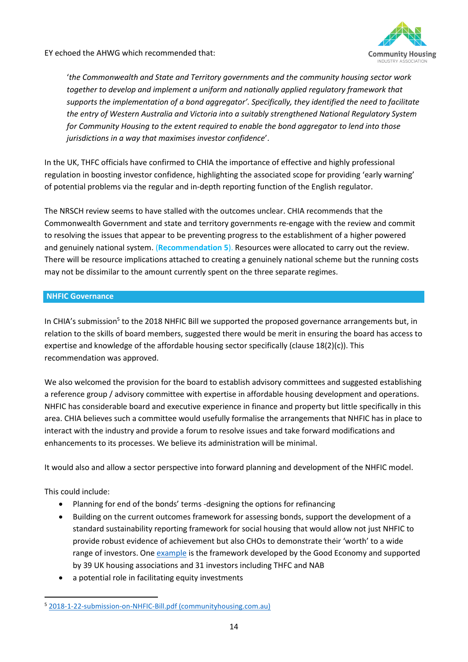

EY echoed the AHWG which recommended that:

'*the Commonwealth and State and Territory governments and the community housing sector work*  together to develop and implement a uniform and nationally applied regulatory framework that *supports the implementation of a bond aggregator'. Specifically, they identified the need to facilitate the entry of Western Australia and Victoria into a suitably strengthened National Regulatory System for Community Housing to the extent required to enable the bond aggregator to lend into those jurisdictions in a way that maximises investor confidence*'.

In the UK, THFC officials have confirmed to CHIA the importance of effective and highly professional regulation in boosting investor confidence, highlighting the associated scope for providing 'early warning' of potential problems via the regular and in-depth reporting function of the English regulator.

The NRSCH review seems to have stalled with the outcomes unclear. CHIA recommends that the Commonwealth Government and state and territory governments re-engage with the review and commit to resolving the issues that appear to be preventing progress to the establishment of a higher powered and genuinely national system. (**Recommendation 5**). Resources were allocated to carry out the review. There will be resource implications attached to creating a genuinely national scheme but the running costs may not be dissimilar to the amount currently spent on the three separate regimes.

# **NHFIC Governance**

In CHIA's submission<sup>5</sup> to the 2018 NHFIC Bill we supported the proposed governance arrangements but, in relation to the skills of board members, suggested there would be merit in ensuring the board has access to expertise and knowledge of the affordable housing sector specifically (clause 18(2)(c)). This recommendation was approved.

We also welcomed the provision for the board to establish advisory committees and suggested establishing a reference group / advisory committee with expertise in affordable housing development and operations. NHFIC has considerable board and executive experience in finance and property but little specifically in this area. CHIA believes such a committee would usefully formalise the arrangements that NHFIC has in place to interact with the industry and provide a forum to resolve issues and take forward modifications and enhancements to its processes. We believe its administration will be minimal.

It would also and allow a sector perspective into forward planning and development of the NHFIC model.

# This could include:

- Planning for end of the bonds' terms -designing the options for refinancing
- Building on the current outcomes framework for assessing bonds, support the development of a standard sustainability reporting framework for social housing that would allow not just NHFIC to provide robust evidence of achievement but also CHOs to demonstrate their 'worth' to a wide range of investors. One [example](https://thegoodeconomy.co.uk/resources/reports/SRS_final-report_2020-11-16-094356.pdf) is the framework developed by the Good Economy and supported by 39 UK housing associations and 31 investors including THFC and NAB
- a potential role in facilitating equity investments

<sup>5</sup> [2018-1-22-submission-on-NHFIC-Bill.pdf \(communityhousing.com.au\)](https://www.communityhousing.com.au/wp-content/uploads/2018/08/2018-1-22-submission-on-NHFIC-Bill.pdf?x67653)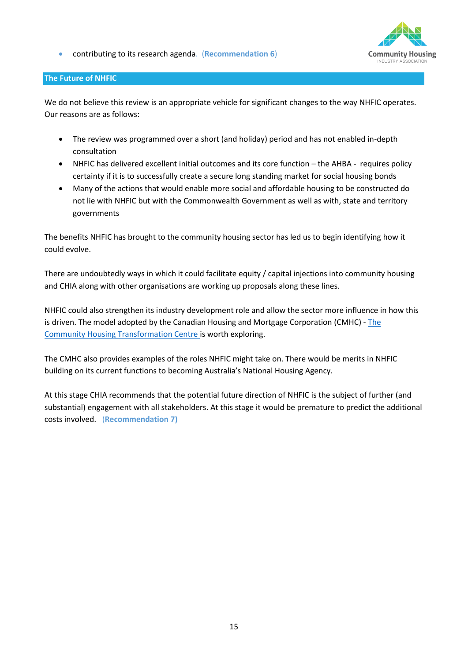• contributing to its research agenda. (**Recommendation 6**)



# **The Future of NHFIC**

We do not believe this review is an appropriate vehicle for significant changes to the way NHFIC operates. Our reasons are as follows:

- The review was programmed over a short (and holiday) period and has not enabled in-depth consultation
- NHFIC has delivered excellent initial outcomes and its core function the AHBA requires policy certainty if it is to successfully create a secure long standing market for social housing bonds
- Many of the actions that would enable more social and affordable housing to be constructed do not lie with NHFIC but with the Commonwealth Government as well as with, state and territory governments

The benefits NHFIC has brought to the community housing sector has led us to begin identifying how it could evolve.

There are undoubtedly ways in which it could facilitate equity / capital injections into community housing and CHIA along with other organisations are working up proposals along these lines.

NHFIC could also strengthen its industry development role and allow the sector more influence in how this is driven. The model adopted by the Canadian Housing and Mortgage Corporation (CMHC) - [The](https://www.cmhc-schl.gc.ca/en/nhs/community-housing-transformation-centre)  [Community Housing Transformation Centre is](https://www.cmhc-schl.gc.ca/en/nhs/community-housing-transformation-centre) worth exploring.

The CMHC also provides examples of the roles NHFIC might take on. There would be merits in NHFIC building on its current functions to becoming Australia's National Housing Agency.

At this stage CHIA recommends that the potential future direction of NHFIC is the subject of further (and substantial) engagement with all stakeholders. At this stage it would be premature to predict the additional costs involved. (**Recommendation 7)**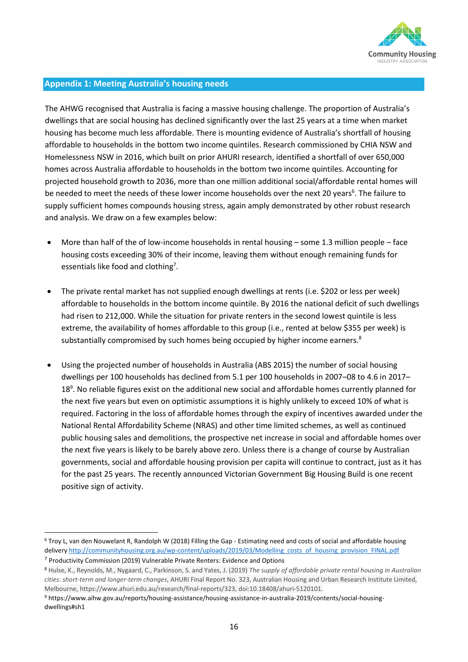

#### **Appendix 1: Meeting Australia's housing needs**

The AHWG recognised that Australia is facing a massive housing challenge. The proportion of Australia's dwellings that are social housing has declined significantly over the last 25 years at a time when market housing has become much less affordable. There is mounting evidence of Australia's shortfall of housing affordable to households in the bottom two income quintiles. Research commissioned by CHIA NSW and Homelessness NSW in 2016, which built on prior AHURI research, identified a shortfall of over 650,000 homes across Australia affordable to households in the bottom two income quintiles. Accounting for projected household growth to 2036, more than one million additional social/affordable rental homes will be needed to meet the needs of these lower income households over the next 20 years<sup>6</sup>. The failure to supply sufficient homes compounds housing stress, again amply demonstrated by other robust research and analysis. We draw on a few examples below:

- More than half of the of low-income households in rental housing some 1.3 million people face housing costs exceeding 30% of their income, leaving them without enough remaining funds for essentials like food and clothing<sup>7</sup>.
- The private rental market has not supplied enough dwellings at rents (i.e. \$202 or less per week) affordable to households in the bottom income quintile. By 2016 the national deficit of such dwellings had risen to 212,000. While the situation for private renters in the second lowest quintile is less extreme, the availability of homes affordable to this group (i.e., rented at below \$355 per week) is substantially compromised by such homes being occupied by higher income earners.<sup>8</sup>
- Using the projected number of households in Australia (ABS 2015) the number of social housing dwellings per 100 households has declined from 5.1 per 100 households in 2007–08 to 4.6 in 2017– 18<sup>9</sup>. No reliable figures exist on the additional new social and affordable homes currently planned for the next five years but even on optimistic assumptions it is highly unlikely to exceed 10% of what is required. Factoring in the loss of affordable homes through the expiry of incentives awarded under the National Rental Affordability Scheme (NRAS) and other time limited schemes, as well as continued public housing sales and demolitions, the prospective net increase in social and affordable homes over the next five years is likely to be barely above zero. Unless there is a change of course by Australian governments, social and affordable housing provision per capita will continue to contract, just as it has for the past 25 years. The recently announced Victorian Government Big Housing Build is one recent positive sign of activity.

<sup>6</sup> Troy L, van den Nouwelant R, Randolph W (2018) Filling the Gap - Estimating need and costs of social and affordable housing delivery http://communityhousing.org.au/wp-content/uploads/2019/03/Modelling\_costs\_of\_housing\_provision\_FINAL.pdf

<sup>7</sup> Productivity Commission (2019) Vulnerable Private Renters: Evidence and Options

<sup>8</sup> Hulse, K., Reynolds, M., Nygaard, C., Parkinson, S. and Yates, J. (2019) *The supply of affordable private rental housing in Australian cities: short-term and longer-term changes*, AHURI Final Report No. 323, Australian Housing and Urban Research Institute Limited, Melbourne, https://www.ahuri.edu.au/research/final-reports/323, doi:10.18408/ahuri-5120101.

<sup>9</sup> https://www.aihw.gov.au/reports/housing-assistance/housing-assistance-in-australia-2019/contents/social-housingdwellings#sh1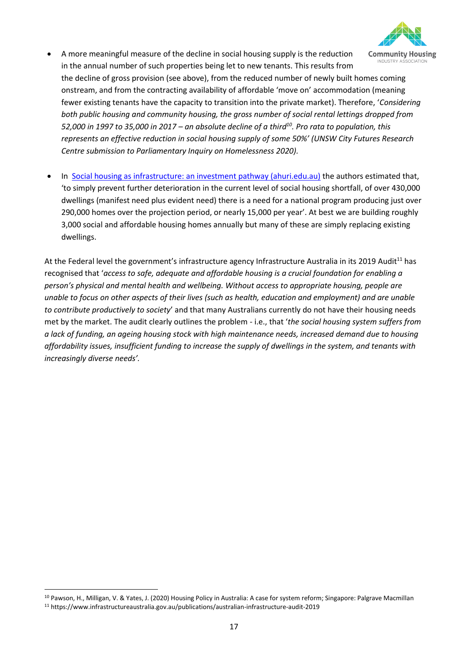

- A more meaningful measure of the decline in social housing supply is the reduction INDUSTRY AS in the annual number of such properties being let to new tenants. This results from the decline of gross provision (see above), from the reduced number of newly built homes coming onstream, and from the contracting availability of affordable 'move on' accommodation (meaning fewer existing tenants have the capacity to transition into the private market). Therefore, '*Considering both public housing and community housing, the gross number of social rental lettings dropped from 52,000 in 1997 to 35,000 in 2017 – an absolute decline of a third<sup>10</sup> . Pro rata to population, this represents an effective reduction in social housing supply of some 50%' (UNSW City Futures Research Centre submission to Parliamentary Inquiry on Homelessness 2020).*
- In [Social housing as infrastructure: an investment pathway \(ahuri.edu.au\)](https://www.ahuri.edu.au/__data/assets/pdf_file/0025/29059/AHURI-Final-Report-306-Social-housing-as-infrastructure-an-investment-pathway.pdf) the authors estimated that, 'to simply prevent further deterioration in the current level of social housing shortfall, of over 430,000 dwellings (manifest need plus evident need) there is a need for a national program producing just over 290,000 homes over the projection period, or nearly 15,000 per year'. At best we are building roughly 3,000 social and affordable housing homes annually but many of these are simply replacing existing dwellings.

At the Federal level the government's infrastructure agency Infrastructure Australia in its 2019 Audit<sup>11</sup> has recognised that '*access to safe, adequate and affordable housing is a crucial foundation for enabling a person's physical and mental health and wellbeing. Without access to appropriate housing, people are unable to focus on other aspects of their lives (such as health, education and employment) and are unable to contribute productively to society*' and that many Australians currently do not have their housing needs met by the market. The audit clearly outlines the problem - i.e., that '*the social housing system suffers from a lack of funding, an ageing housing stock with high maintenance needs, increased demand due to housing affordability issues, insufficient funding to increase the supply of dwellings in the system, and tenants with increasingly diverse needs'.*

<sup>10</sup> Pawson, H., Milligan, V. & Yates, J. (2020) Housing Policy in Australia: A case for system reform; Singapore: Palgrave Macmillan <sup>11</sup> https://www.infrastructureaustralia.gov.au/publications/australian-infrastructure-audit-2019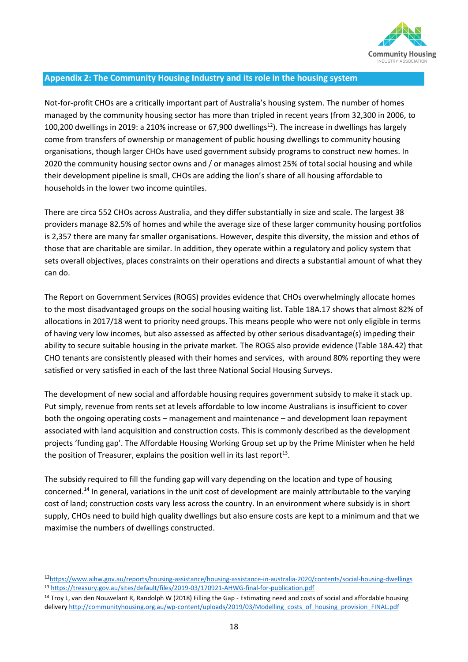

# **Appendix 2: The Community Housing Industry and its role in the housing system**

Not-for-profit CHOs are a critically important part of Australia's housing system. The number of homes managed by the community housing sector has more than tripled in recent years (from 32,300 in 2006, to 100,200 dwellings in 2019: a 210% increase or 67,900 dwellings<sup>12</sup>). The increase in dwellings has largely come from transfers of ownership or management of public housing dwellings to community housing organisations, though larger CHOs have used government subsidy programs to construct new homes. In 2020 the community housing sector owns and / or manages almost 25% of total social housing and while their development pipeline is small, CHOs are adding the lion's share of all housing affordable to households in the lower two income quintiles.

There are circa 552 CHOs across Australia, and they differ substantially in size and scale. The largest 38 providers manage 82.5% of homes and while the average size of these larger community housing portfolios is 2,357 there are many far smaller organisations. However, despite this diversity, the mission and ethos of those that are charitable are similar. In addition, they operate within a regulatory and policy system that sets overall objectives, places constraints on their operations and directs a substantial amount of what they can do.

The Report on Government Services (ROGS) provides evidence that CHOs overwhelmingly allocate homes to the most disadvantaged groups on the social housing waiting list. Table 18A.17 shows that almost 82% of allocations in 2017/18 went to priority need groups. This means people who were not only eligible in terms of having very low incomes, but also assessed as affected by other serious disadvantage(s) impeding their ability to secure suitable housing in the private market. The ROGS also provide evidence (Table 18A.42) that CHO tenants are consistently pleased with their homes and services, with around 80% reporting they were satisfied or very satisfied in each of the last three National Social Housing Surveys.

The development of new social and affordable housing requires government subsidy to make it stack up. Put simply, revenue from rents set at levels affordable to low income Australians is insufficient to cover both the ongoing operating costs – management and maintenance – and development loan repayment associated with land acquisition and construction costs. This is commonly described as the development projects 'funding gap'. The Affordable Housing Working Group set up by the Prime Minister when he held the position of Treasurer, explains the position well in its last report<sup>13</sup>.

The subsidy required to fill the funding gap will vary depending on the location and type of housing concerned.<sup>14</sup> In general, variations in the unit cost of development are mainly attributable to the varying cost of land; construction costs vary less across the country. In an environment where subsidy is in short supply, CHOs need to build high quality dwellings but also ensure costs are kept to a minimum and that we maximise the numbers of dwellings constructed.

<sup>12</sup><https://www.aihw.gov.au/reports/housing-assistance/housing-assistance-in-australia-2020/contents/social-housing-dwellings> <sup>13</sup> <https://treasury.gov.au/sites/default/files/2019-03/170921-AHWG-final-for-publication.pdf>

<sup>&</sup>lt;sup>14</sup> Troy L, van den Nouwelant R, Randolph W (2018) Filling the Gap - Estimating need and costs of social and affordable housing delivery http://communityhousing.org.au/wp-content/uploads/2019/03/Modelling\_costs\_of\_housing\_provision\_FINAL.pdf